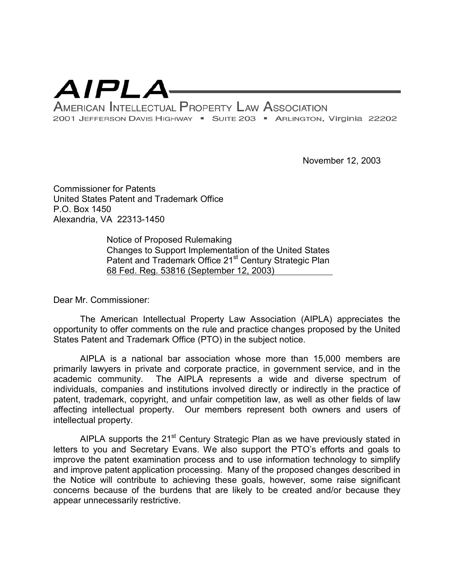

November 12, 2003

Commissioner for Patents United States Patent and Trademark Office P.O. Box 1450 Alexandria, VA 22313-1450

> Notice of Proposed Rulemaking Changes to Support Implementation of the United States Patent and Trademark Office 21<sup>st</sup> Century Strategic Plan 68 Fed. Reg. 53816 (September 12, 2003)

Dear Mr. Commissioner:

The American Intellectual Property Law Association (AIPLA) appreciates the opportunity to offer comments on the rule and practice changes proposed by the United States Patent and Trademark Office (PTO) in the subject notice.

AIPLA is a national bar association whose more than 15,000 members are primarily lawyers in private and corporate practice, in government service, and in the academic community. The AIPLA represents a wide and diverse spectrum of individuals, companies and institutions involved directly or indirectly in the practice of patent, trademark, copyright, and unfair competition law, as well as other fields of law affecting intellectual property. Our members represent both owners and users of intellectual property.

AIPLA supports the 21<sup>st</sup> Century Strategic Plan as we have previously stated in letters to you and Secretary Evans. We also support the PTO's efforts and goals to improve the patent examination process and to use information technology to simplify and improve patent application processing. Many of the proposed changes described in the Notice will contribute to achieving these goals, however, some raise significant concerns because of the burdens that are likely to be created and/or because they appear unnecessarily restrictive.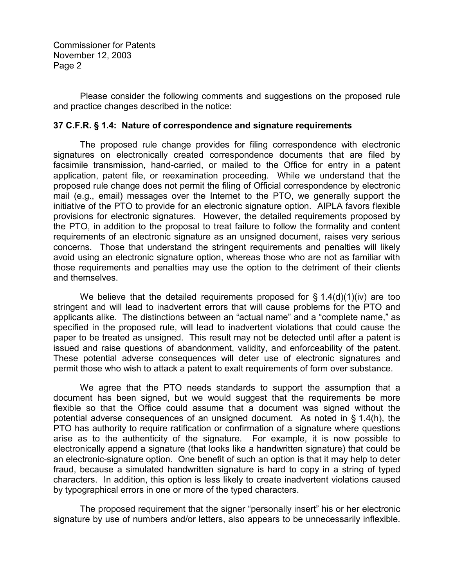Please consider the following comments and suggestions on the proposed rule and practice changes described in the notice:

#### **37 C.F.R. § 1.4: Nature of correspondence and signature requirements**

The proposed rule change provides for filing correspondence with electronic signatures on electronically created correspondence documents that are filed by facsimile transmission, hand-carried, or mailed to the Office for entry in a patent application, patent file, or reexamination proceeding. While we understand that the proposed rule change does not permit the filing of Official correspondence by electronic mail (e.g., email) messages over the Internet to the PTO, we generally support the initiative of the PTO to provide for an electronic signature option. AIPLA favors flexible provisions for electronic signatures. However, the detailed requirements proposed by the PTO, in addition to the proposal to treat failure to follow the formality and content requirements of an electronic signature as an unsigned document, raises very serious concerns. Those that understand the stringent requirements and penalties will likely avoid using an electronic signature option, whereas those who are not as familiar with those requirements and penalties may use the option to the detriment of their clients and themselves.

We believe that the detailed requirements proposed for  $\S$  1.4(d)(1)(iv) are too stringent and will lead to inadvertent errors that will cause problems for the PTO and applicants alike. The distinctions between an "actual name" and a "complete name," as specified in the proposed rule, will lead to inadvertent violations that could cause the paper to be treated as unsigned. This result may not be detected until after a patent is issued and raise questions of abandonment, validity, and enforceability of the patent. These potential adverse consequences will deter use of electronic signatures and permit those who wish to attack a patent to exalt requirements of form over substance.

We agree that the PTO needs standards to support the assumption that a document has been signed, but we would suggest that the requirements be more flexible so that the Office could assume that a document was signed without the potential adverse consequences of an unsigned document. As noted in § 1.4(h), the PTO has authority to require ratification or confirmation of a signature where questions arise as to the authenticity of the signature. For example, it is now possible to electronically append a signature (that looks like a handwritten signature) that could be an electronic-signature option. One benefit of such an option is that it may help to deter fraud, because a simulated handwritten signature is hard to copy in a string of typed characters. In addition, this option is less likely to create inadvertent violations caused by typographical errors in one or more of the typed characters.

The proposed requirement that the signer "personally insert" his or her electronic signature by use of numbers and/or letters, also appears to be unnecessarily inflexible.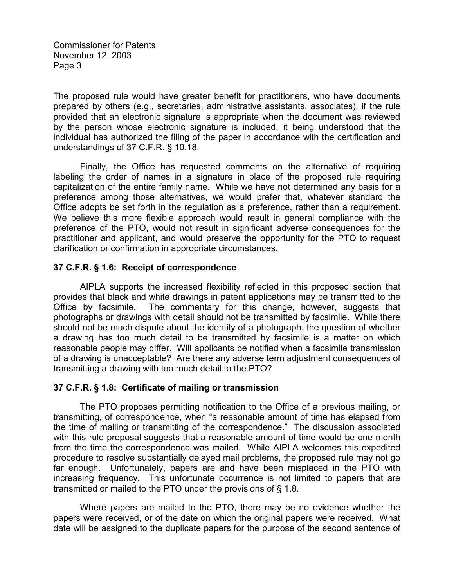The proposed rule would have greater benefit for practitioners, who have documents prepared by others (e.g., secretaries, administrative assistants, associates), if the rule provided that an electronic signature is appropriate when the document was reviewed by the person whose electronic signature is included, it being understood that the individual has authorized the filing of the paper in accordance with the certification and understandings of 37 C.F.R. § 10.18.

Finally, the Office has requested comments on the alternative of requiring labeling the order of names in a signature in place of the proposed rule requiring capitalization of the entire family name. While we have not determined any basis for a preference among those alternatives, we would prefer that, whatever standard the Office adopts be set forth in the regulation as a preference, rather than a requirement. We believe this more flexible approach would result in general compliance with the preference of the PTO, would not result in significant adverse consequences for the practitioner and applicant, and would preserve the opportunity for the PTO to request clarification or confirmation in appropriate circumstances.

#### **37 C.F.R. § 1.6: Receipt of correspondence**

AIPLA supports the increased flexibility reflected in this proposed section that provides that black and white drawings in patent applications may be transmitted to the Office by facsimile. The commentary for this change, however, suggests that photographs or drawings with detail should not be transmitted by facsimile. While there should not be much dispute about the identity of a photograph, the question of whether a drawing has too much detail to be transmitted by facsimile is a matter on which reasonable people may differ. Will applicants be notified when a facsimile transmission of a drawing is unacceptable? Are there any adverse term adjustment consequences of transmitting a drawing with too much detail to the PTO?

# **37 C.F.R. § 1.8: Certificate of mailing or transmission**

The PTO proposes permitting notification to the Office of a previous mailing, or transmitting, of correspondence, when "a reasonable amount of time has elapsed from the time of mailing or transmitting of the correspondence." The discussion associated with this rule proposal suggests that a reasonable amount of time would be one month from the time the correspondence was mailed. While AIPLA welcomes this expedited procedure to resolve substantially delayed mail problems, the proposed rule may not go far enough. Unfortunately, papers are and have been misplaced in the PTO with increasing frequency. This unfortunate occurrence is not limited to papers that are transmitted or mailed to the PTO under the provisions of § 1.8.

Where papers are mailed to the PTO, there may be no evidence whether the papers were received, or of the date on which the original papers were received. What date will be assigned to the duplicate papers for the purpose of the second sentence of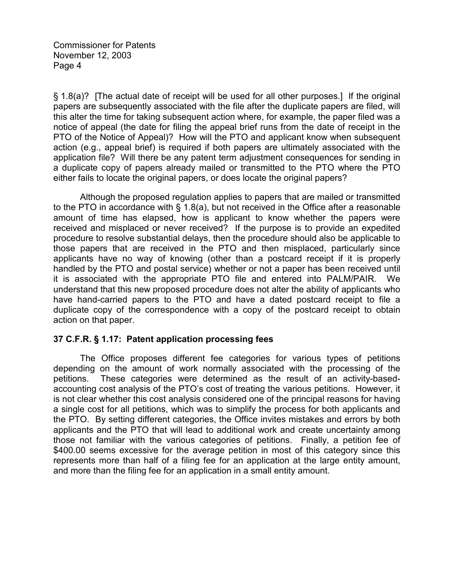§ 1.8(a)? [The actual date of receipt will be used for all other purposes.] If the original papers are subsequently associated with the file after the duplicate papers are filed, will this alter the time for taking subsequent action where, for example, the paper filed was a notice of appeal (the date for filing the appeal brief runs from the date of receipt in the PTO of the Notice of Appeal)? How will the PTO and applicant know when subsequent action (e.g., appeal brief) is required if both papers are ultimately associated with the application file? Will there be any patent term adjustment consequences for sending in a duplicate copy of papers already mailed or transmitted to the PTO where the PTO either fails to locate the original papers, or does locate the original papers?

Although the proposed regulation applies to papers that are mailed or transmitted to the PTO in accordance with § 1.8(a), but not received in the Office after a reasonable amount of time has elapsed, how is applicant to know whether the papers were received and misplaced or never received? If the purpose is to provide an expedited procedure to resolve substantial delays, then the procedure should also be applicable to those papers that are received in the PTO and then misplaced, particularly since applicants have no way of knowing (other than a postcard receipt if it is properly handled by the PTO and postal service) whether or not a paper has been received until it is associated with the appropriate PTO file and entered into PALM/PAIR. We understand that this new proposed procedure does not alter the ability of applicants who have hand-carried papers to the PTO and have a dated postcard receipt to file a duplicate copy of the correspondence with a copy of the postcard receipt to obtain action on that paper.

# **37 C.F.R. § 1.17: Patent application processing fees**

The Office proposes different fee categories for various types of petitions depending on the amount of work normally associated with the processing of the petitions. These categories were determined as the result of an activity-basedaccounting cost analysis of the PTO's cost of treating the various petitions. However, it is not clear whether this cost analysis considered one of the principal reasons for having a single cost for all petitions, which was to simplify the process for both applicants and the PTO. By setting different categories, the Office invites mistakes and errors by both applicants and the PTO that will lead to additional work and create uncertainty among those not familiar with the various categories of petitions. Finally, a petition fee of \$400.00 seems excessive for the average petition in most of this category since this represents more than half of a filing fee for an application at the large entity amount, and more than the filing fee for an application in a small entity amount.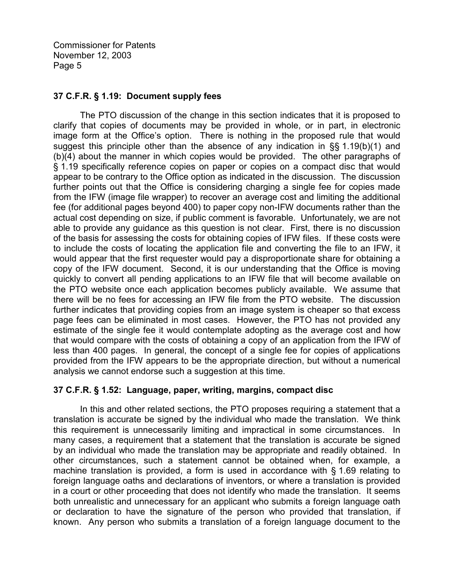# **37 C.F.R. § 1.19: Document supply fees**

The PTO discussion of the change in this section indicates that it is proposed to clarify that copies of documents may be provided in whole, or in part, in electronic image form at the Office's option. There is nothing in the proposed rule that would suggest this principle other than the absence of any indication in §§ 1.19(b)(1) and (b)(4) about the manner in which copies would be provided. The other paragraphs of § 1.19 specifically reference copies on paper or copies on a compact disc that would appear to be contrary to the Office option as indicated in the discussion. The discussion further points out that the Office is considering charging a single fee for copies made from the IFW (image file wrapper) to recover an average cost and limiting the additional fee (for additional pages beyond 400) to paper copy non-IFW documents rather than the actual cost depending on size, if public comment is favorable. Unfortunately, we are not able to provide any guidance as this question is not clear. First, there is no discussion of the basis for assessing the costs for obtaining copies of IFW files. If these costs were to include the costs of locating the application file and converting the file to an IFW, it would appear that the first requester would pay a disproportionate share for obtaining a copy of the IFW document. Second, it is our understanding that the Office is moving quickly to convert all pending applications to an IFW file that will become available on the PTO website once each application becomes publicly available. We assume that there will be no fees for accessing an IFW file from the PTO website. The discussion further indicates that providing copies from an image system is cheaper so that excess page fees can be eliminated in most cases. However, the PTO has not provided any estimate of the single fee it would contemplate adopting as the average cost and how that would compare with the costs of obtaining a copy of an application from the IFW of less than 400 pages. In general, the concept of a single fee for copies of applications provided from the IFW appears to be the appropriate direction, but without a numerical analysis we cannot endorse such a suggestion at this time.

# **37 C.F.R. § 1.52: Language, paper, writing, margins, compact disc**

In this and other related sections, the PTO proposes requiring a statement that a translation is accurate be signed by the individual who made the translation. We think this requirement is unnecessarily limiting and impractical in some circumstances. In many cases, a requirement that a statement that the translation is accurate be signed by an individual who made the translation may be appropriate and readily obtained. In other circumstances, such a statement cannot be obtained when, for example, a machine translation is provided, a form is used in accordance with § 1.69 relating to foreign language oaths and declarations of inventors, or where a translation is provided in a court or other proceeding that does not identify who made the translation. It seems both unrealistic and unnecessary for an applicant who submits a foreign language oath or declaration to have the signature of the person who provided that translation, if known. Any person who submits a translation of a foreign language document to the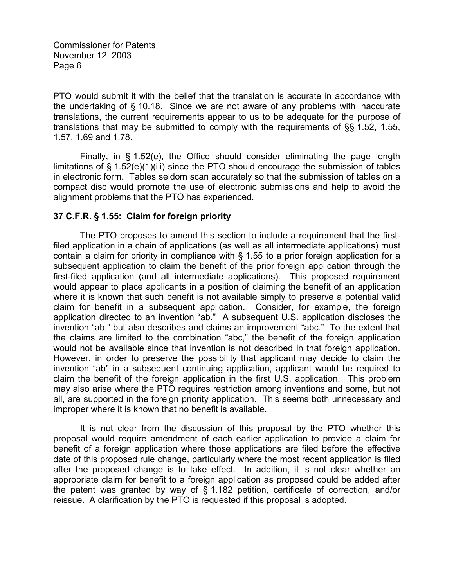PTO would submit it with the belief that the translation is accurate in accordance with the undertaking of § 10.18. Since we are not aware of any problems with inaccurate translations, the current requirements appear to us to be adequate for the purpose of translations that may be submitted to comply with the requirements of §§ 1.52, 1.55, 1.57, 1.69 and 1.78.

Finally, in § 1.52(e), the Office should consider eliminating the page length limitations of  $\S$  1.52(e)(1)(iii) since the PTO should encourage the submission of tables in electronic form. Tables seldom scan accurately so that the submission of tables on a compact disc would promote the use of electronic submissions and help to avoid the alignment problems that the PTO has experienced.

# **37 C.F.R. § 1.55: Claim for foreign priority**

The PTO proposes to amend this section to include a requirement that the firstfiled application in a chain of applications (as well as all intermediate applications) must contain a claim for priority in compliance with § 1.55 to a prior foreign application for a subsequent application to claim the benefit of the prior foreign application through the first-filed application (and all intermediate applications). This proposed requirement would appear to place applicants in a position of claiming the benefit of an application where it is known that such benefit is not available simply to preserve a potential valid claim for benefit in a subsequent application. Consider, for example, the foreign application directed to an invention "ab." A subsequent U.S. application discloses the invention "ab," but also describes and claims an improvement "abc." To the extent that the claims are limited to the combination "abc," the benefit of the foreign application would not be available since that invention is not described in that foreign application. However, in order to preserve the possibility that applicant may decide to claim the invention "ab" in a subsequent continuing application, applicant would be required to claim the benefit of the foreign application in the first U.S. application. This problem may also arise where the PTO requires restriction among inventions and some, but not all, are supported in the foreign priority application. This seems both unnecessary and improper where it is known that no benefit is available.

It is not clear from the discussion of this proposal by the PTO whether this proposal would require amendment of each earlier application to provide a claim for benefit of a foreign application where those applications are filed before the effective date of this proposed rule change, particularly where the most recent application is filed after the proposed change is to take effect. In addition, it is not clear whether an appropriate claim for benefit to a foreign application as proposed could be added after the patent was granted by way of § 1.182 petition, certificate of correction, and/or reissue. A clarification by the PTO is requested if this proposal is adopted.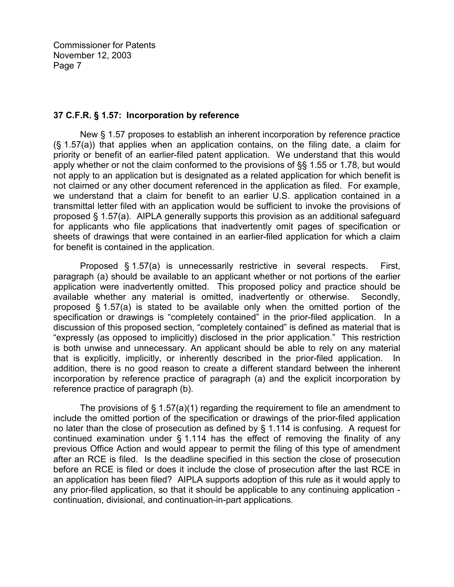#### **37 C.F.R. § 1.57: Incorporation by reference**

New § 1.57 proposes to establish an inherent incorporation by reference practice (§ 1.57(a)) that applies when an application contains, on the filing date, a claim for priority or benefit of an earlier-filed patent application. We understand that this would apply whether or not the claim conformed to the provisions of §§ 1.55 or 1.78, but would not apply to an application but is designated as a related application for which benefit is not claimed or any other document referenced in the application as filed. For example, we understand that a claim for benefit to an earlier U.S. application contained in a transmittal letter filed with an application would be sufficient to invoke the provisions of proposed § 1.57(a). AIPLA generally supports this provision as an additional safeguard for applicants who file applications that inadvertently omit pages of specification or sheets of drawings that were contained in an earlier-filed application for which a claim for benefit is contained in the application.

Proposed § 1.57(a) is unnecessarily restrictive in several respects. First, paragraph (a) should be available to an applicant whether or not portions of the earlier application were inadvertently omitted. This proposed policy and practice should be available whether any material is omitted, inadvertently or otherwise. Secondly, proposed § 1.57(a) is stated to be available only when the omitted portion of the specification or drawings is "completely contained" in the prior-filed application. In a discussion of this proposed section, "completely contained" is defined as material that is "expressly (as opposed to implicitly) disclosed in the prior application." This restriction is both unwise and unnecessary. An applicant should be able to rely on any material that is explicitly, implicitly, or inherently described in the prior-filed application. In addition, there is no good reason to create a different standard between the inherent incorporation by reference practice of paragraph (a) and the explicit incorporation by reference practice of paragraph (b).

The provisions of  $\S$  1.57(a)(1) regarding the requirement to file an amendment to include the omitted portion of the specification or drawings of the prior-filed application no later than the close of prosecution as defined by § 1.114 is confusing. A request for continued examination under § 1.114 has the effect of removing the finality of any previous Office Action and would appear to permit the filing of this type of amendment after an RCE is filed. Is the deadline specified in this section the close of prosecution before an RCE is filed or does it include the close of prosecution after the last RCE in an application has been filed? AIPLA supports adoption of this rule as it would apply to any prior-filed application, so that it should be applicable to any continuing application continuation, divisional, and continuation-in-part applications.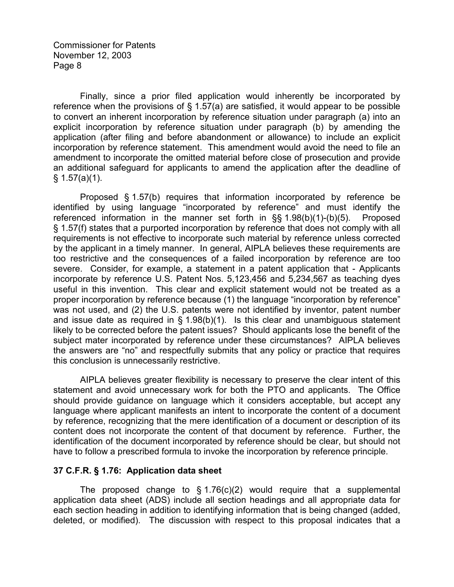Finally, since a prior filed application would inherently be incorporated by reference when the provisions of § 1.57(a) are satisfied, it would appear to be possible to convert an inherent incorporation by reference situation under paragraph (a) into an explicit incorporation by reference situation under paragraph (b) by amending the application (after filing and before abandonment or allowance) to include an explicit incorporation by reference statement. This amendment would avoid the need to file an amendment to incorporate the omitted material before close of prosecution and provide an additional safeguard for applicants to amend the application after the deadline of  $§ 1.57(a)(1).$ 

Proposed § 1.57(b) requires that information incorporated by reference be identified by using language "incorporated by reference" and must identify the referenced information in the manner set forth in §§ 1.98(b)(1)-(b)(5). Proposed § 1.57(f) states that a purported incorporation by reference that does not comply with all requirements is not effective to incorporate such material by reference unless corrected by the applicant in a timely manner. In general, AIPLA believes these requirements are too restrictive and the consequences of a failed incorporation by reference are too severe. Consider, for example, a statement in a patent application that - Applicants incorporate by reference U.S. Patent Nos. 5,123,456 and 5,234,567 as teaching dyes useful in this invention. This clear and explicit statement would not be treated as a proper incorporation by reference because (1) the language "incorporation by reference" was not used, and (2) the U.S. patents were not identified by inventor, patent number and issue date as required in § 1.98(b)(1). Is this clear and unambiguous statement likely to be corrected before the patent issues? Should applicants lose the benefit of the subject mater incorporated by reference under these circumstances? AIPLA believes the answers are "no" and respectfully submits that any policy or practice that requires this conclusion is unnecessarily restrictive.

AIPLA believes greater flexibility is necessary to preserve the clear intent of this statement and avoid unnecessary work for both the PTO and applicants. The Office should provide guidance on language which it considers acceptable, but accept any language where applicant manifests an intent to incorporate the content of a document by reference, recognizing that the mere identification of a document or description of its content does not incorporate the content of that document by reference. Further, the identification of the document incorporated by reference should be clear, but should not have to follow a prescribed formula to invoke the incorporation by reference principle.

#### **37 C.F.R. § 1.76: Application data sheet**

The proposed change to  $\S 1.76(c)(2)$  would require that a supplemental application data sheet (ADS) include all section headings and all appropriate data for each section heading in addition to identifying information that is being changed (added, deleted, or modified). The discussion with respect to this proposal indicates that a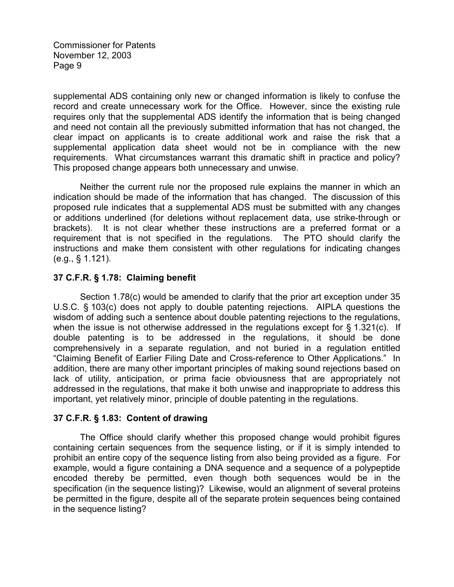supplemental ADS containing only new or changed information is likely to confuse the record and create unnecessary work for the Office. However, since the existing rule requires only that the supplemental ADS identify the information that is being changed and need not contain all the previously submitted information that has not changed, the clear impact on applicants is to create additional work and raise the risk that a supplemental application data sheet would not be in compliance with the new requirements. What circumstances warrant this dramatic shift in practice and policy? This proposed change appears both unnecessary and unwise.

Neither the current rule nor the proposed rule explains the manner in which an indication should be made of the information that has changed. The discussion of this proposed rule indicates that a supplemental ADS must be submitted with any changes or additions underlined (for deletions without replacement data, use strike-through or brackets). It is not clear whether these instructions are a preferred format or a requirement that is not specified in the regulations. The PTO should clarify the instructions and make them consistent with other regulations for indicating changes (e.g., § 1.121).

# **37 C.F.R. § 1.78: Claiming benefit**

Section 1.78(c) would be amended to clarify that the prior art exception under 35 U.S.C. § 103(c) does not apply to double patenting rejections. AIPLA questions the wisdom of adding such a sentence about double patenting rejections to the regulations, when the issue is not otherwise addressed in the regulations except for § 1.321(c). If double patenting is to be addressed in the regulations, it should be done comprehensively in a separate regulation, and not buried in a regulation entitled "Claiming Benefit of Earlier Filing Date and Cross-reference to Other Applications." In addition, there are many other important principles of making sound rejections based on lack of utility, anticipation, or prima facie obviousness that are appropriately not addressed in the regulations, that make it both unwise and inappropriate to address this important, yet relatively minor, principle of double patenting in the regulations.

# **37 C.F.R. § 1.83: Content of drawing**

The Office should clarify whether this proposed change would prohibit figures containing certain sequences from the sequence listing, or if it is simply intended to prohibit an entire copy of the sequence listing from also being provided as a figure. For example, would a figure containing a DNA sequence and a sequence of a polypeptide encoded thereby be permitted, even though both sequences would be in the specification (in the sequence listing)? Likewise, would an alignment of several proteins be permitted in the figure, despite all of the separate protein sequences being contained in the sequence listing?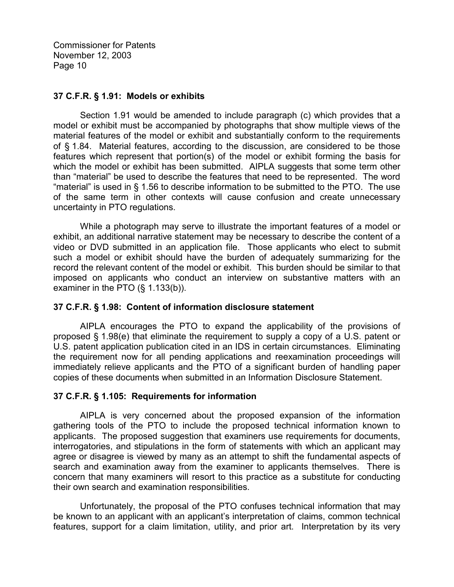#### **37 C.F.R. § 1.91: Models or exhibits**

Section 1.91 would be amended to include paragraph (c) which provides that a model or exhibit must be accompanied by photographs that show multiple views of the material features of the model or exhibit and substantially conform to the requirements of § 1.84. Material features, according to the discussion, are considered to be those features which represent that portion(s) of the model or exhibit forming the basis for which the model or exhibit has been submitted. AIPLA suggests that some term other than "material" be used to describe the features that need to be represented. The word "material" is used in § 1.56 to describe information to be submitted to the PTO. The use of the same term in other contexts will cause confusion and create unnecessary uncertainty in PTO regulations.

While a photograph may serve to illustrate the important features of a model or exhibit, an additional narrative statement may be necessary to describe the content of a video or DVD submitted in an application file. Those applicants who elect to submit such a model or exhibit should have the burden of adequately summarizing for the record the relevant content of the model or exhibit. This burden should be similar to that imposed on applicants who conduct an interview on substantive matters with an examiner in the PTO (§ 1.133(b)).

# **37 C.F.R. § 1.98: Content of information disclosure statement**

AIPLA encourages the PTO to expand the applicability of the provisions of proposed § 1.98(e) that eliminate the requirement to supply a copy of a U.S. patent or U.S. patent application publication cited in an IDS in certain circumstances. Eliminating the requirement now for all pending applications and reexamination proceedings will immediately relieve applicants and the PTO of a significant burden of handling paper copies of these documents when submitted in an Information Disclosure Statement.

# **37 C.F.R. § 1.105: Requirements for information**

AIPLA is very concerned about the proposed expansion of the information gathering tools of the PTO to include the proposed technical information known to applicants. The proposed suggestion that examiners use requirements for documents, interrogatories, and stipulations in the form of statements with which an applicant may agree or disagree is viewed by many as an attempt to shift the fundamental aspects of search and examination away from the examiner to applicants themselves. There is concern that many examiners will resort to this practice as a substitute for conducting their own search and examination responsibilities.

Unfortunately, the proposal of the PTO confuses technical information that may be known to an applicant with an applicant's interpretation of claims, common technical features, support for a claim limitation, utility, and prior art. Interpretation by its very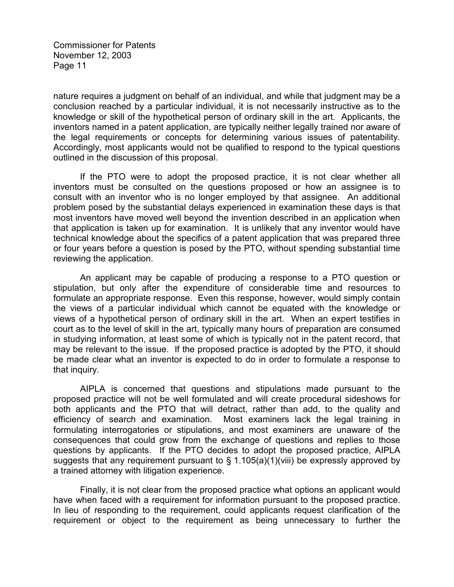nature requires a judgment on behalf of an individual, and while that judgment may be a conclusion reached by a particular individual, it is not necessarily instructive as to the knowledge or skill of the hypothetical person of ordinary skill in the art. Applicants, the inventors named in a patent application, are typically neither legally trained nor aware of the legal requirements or concepts for determining various issues of patentability. Accordingly, most applicants would not be qualified to respond to the typical questions outlined in the discussion of this proposal.

If the PTO were to adopt the proposed practice, it is not clear whether all inventors must be consulted on the questions proposed or how an assignee is to consult with an inventor who is no longer employed by that assignee. An additional problem posed by the substantial delays experienced in examination these days is that most inventors have moved well beyond the invention described in an application when that application is taken up for examination. It is unlikely that any inventor would have technical knowledge about the specifics of a patent application that was prepared three or four years before a question is posed by the PTO, without spending substantial time reviewing the application.

An applicant may be capable of producing a response to a PTO question or stipulation, but only after the expenditure of considerable time and resources to formulate an appropriate response. Even this response, however, would simply contain the views of a particular individual which cannot be equated with the knowledge or views of a hypothetical person of ordinary skill in the art. When an expert testifies in court as to the level of skill in the art, typically many hours of preparation are consumed in studying information, at least some of which is typically not in the patent record, that may be relevant to the issue. If the proposed practice is adopted by the PTO, it should be made clear what an inventor is expected to do in order to formulate a response to that inquiry.

AIPLA is concerned that questions and stipulations made pursuant to the proposed practice will not be well formulated and will create procedural sideshows for both applicants and the PTO that will detract, rather than add, to the quality and efficiency of search and examination. Most examiners lack the legal training in formulating interrogatories or stipulations, and most examiners are unaware of the consequences that could grow from the exchange of questions and replies to those questions by applicants. If the PTO decides to adopt the proposed practice, AIPLA suggests that any requirement pursuant to  $\S$  1.105(a)(1)(viii) be expressly approved by a trained attorney with litigation experience.

Finally, it is not clear from the proposed practice what options an applicant would have when faced with a requirement for information pursuant to the proposed practice. In lieu of responding to the requirement, could applicants request clarification of the requirement or object to the requirement as being unnecessary to further the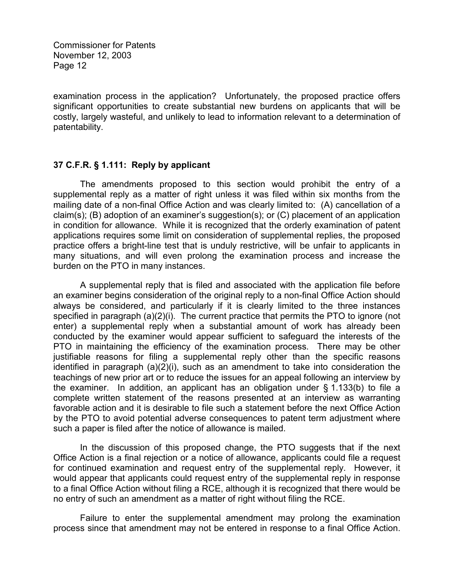examination process in the application? Unfortunately, the proposed practice offers significant opportunities to create substantial new burdens on applicants that will be costly, largely wasteful, and unlikely to lead to information relevant to a determination of patentability.

#### **37 C.F.R. § 1.111: Reply by applicant**

The amendments proposed to this section would prohibit the entry of a supplemental reply as a matter of right unless it was filed within six months from the mailing date of a non-final Office Action and was clearly limited to: (A) cancellation of a claim(s); (B) adoption of an examiner's suggestion(s); or (C) placement of an application in condition for allowance. While it is recognized that the orderly examination of patent applications requires some limit on consideration of supplemental replies, the proposed practice offers a bright-line test that is unduly restrictive, will be unfair to applicants in many situations, and will even prolong the examination process and increase the burden on the PTO in many instances.

A supplemental reply that is filed and associated with the application file before an examiner begins consideration of the original reply to a non-final Office Action should always be considered, and particularly if it is clearly limited to the three instances specified in paragraph (a)(2)(i). The current practice that permits the PTO to ignore (not enter) a supplemental reply when a substantial amount of work has already been conducted by the examiner would appear sufficient to safeguard the interests of the PTO in maintaining the efficiency of the examination process. There may be other justifiable reasons for filing a supplemental reply other than the specific reasons identified in paragraph (a)(2)(i), such as an amendment to take into consideration the teachings of new prior art or to reduce the issues for an appeal following an interview by the examiner. In addition, an applicant has an obligation under  $\S$  1.133(b) to file a complete written statement of the reasons presented at an interview as warranting favorable action and it is desirable to file such a statement before the next Office Action by the PTO to avoid potential adverse consequences to patent term adjustment where such a paper is filed after the notice of allowance is mailed.

In the discussion of this proposed change, the PTO suggests that if the next Office Action is a final rejection or a notice of allowance, applicants could file a request for continued examination and request entry of the supplemental reply. However, it would appear that applicants could request entry of the supplemental reply in response to a final Office Action without filing a RCE, although it is recognized that there would be no entry of such an amendment as a matter of right without filing the RCE.

Failure to enter the supplemental amendment may prolong the examination process since that amendment may not be entered in response to a final Office Action.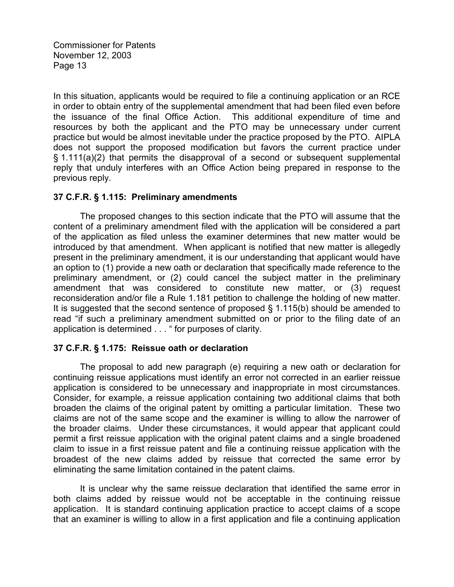In this situation, applicants would be required to file a continuing application or an RCE in order to obtain entry of the supplemental amendment that had been filed even before the issuance of the final Office Action. This additional expenditure of time and resources by both the applicant and the PTO may be unnecessary under current practice but would be almost inevitable under the practice proposed by the PTO. AIPLA does not support the proposed modification but favors the current practice under § 1.111(a)(2) that permits the disapproval of a second or subsequent supplemental reply that unduly interferes with an Office Action being prepared in response to the previous reply.

#### **37 C.F.R. § 1.115: Preliminary amendments**

The proposed changes to this section indicate that the PTO will assume that the content of a preliminary amendment filed with the application will be considered a part of the application as filed unless the examiner determines that new matter would be introduced by that amendment. When applicant is notified that new matter is allegedly present in the preliminary amendment, it is our understanding that applicant would have an option to (1) provide a new oath or declaration that specifically made reference to the preliminary amendment, or (2) could cancel the subject matter in the preliminary amendment that was considered to constitute new matter, or (3) request reconsideration and/or file a Rule 1.181 petition to challenge the holding of new matter. It is suggested that the second sentence of proposed  $\S$  1.115(b) should be amended to read "if such a preliminary amendment submitted on or prior to the filing date of an application is determined . . . " for purposes of clarity.

# **37 C.F.R. § 1.175: Reissue oath or declaration**

The proposal to add new paragraph (e) requiring a new oath or declaration for continuing reissue applications must identify an error not corrected in an earlier reissue application is considered to be unnecessary and inappropriate in most circumstances. Consider, for example, a reissue application containing two additional claims that both broaden the claims of the original patent by omitting a particular limitation. These two claims are not of the same scope and the examiner is willing to allow the narrower of the broader claims. Under these circumstances, it would appear that applicant could permit a first reissue application with the original patent claims and a single broadened claim to issue in a first reissue patent and file a continuing reissue application with the broadest of the new claims added by reissue that corrected the same error by eliminating the same limitation contained in the patent claims.

It is unclear why the same reissue declaration that identified the same error in both claims added by reissue would not be acceptable in the continuing reissue application. It is standard continuing application practice to accept claims of a scope that an examiner is willing to allow in a first application and file a continuing application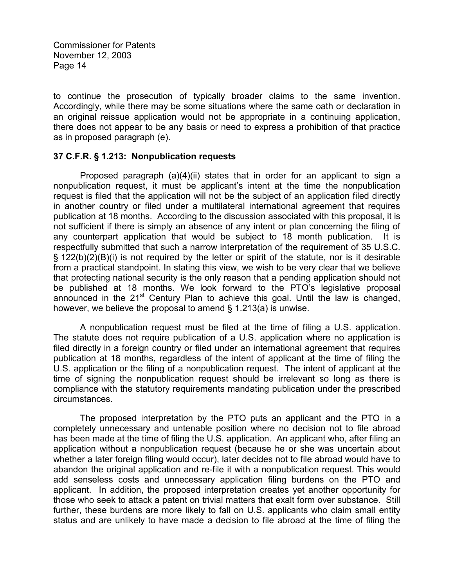to continue the prosecution of typically broader claims to the same invention. Accordingly, while there may be some situations where the same oath or declaration in an original reissue application would not be appropriate in a continuing application, there does not appear to be any basis or need to express a prohibition of that practice as in proposed paragraph (e).

#### **37 C.F.R. § 1.213: Nonpublication requests**

Proposed paragraph (a)(4)(ii) states that in order for an applicant to sign a nonpublication request, it must be applicant's intent at the time the nonpublication request is filed that the application will not be the subject of an application filed directly in another country or filed under a multilateral international agreement that requires publication at 18 months. According to the discussion associated with this proposal, it is not sufficient if there is simply an absence of any intent or plan concerning the filing of any counterpart application that would be subject to 18 month publication. It is respectfully submitted that such a narrow interpretation of the requirement of 35 U.S.C. § 122(b)(2)(B)(i) is not required by the letter or spirit of the statute, nor is it desirable from a practical standpoint. In stating this view, we wish to be very clear that we believe that protecting national security is the only reason that a pending application should not be published at 18 months. We look forward to the PTO's legislative proposal announced in the  $21<sup>st</sup>$  Century Plan to achieve this goal. Until the law is changed, however, we believe the proposal to amend § 1.213(a) is unwise.

A nonpublication request must be filed at the time of filing a U.S. application. The statute does not require publication of a U.S. application where no application is filed directly in a foreign country or filed under an international agreement that requires publication at 18 months, regardless of the intent of applicant at the time of filing the U.S. application or the filing of a nonpublication request. The intent of applicant at the time of signing the nonpublication request should be irrelevant so long as there is compliance with the statutory requirements mandating publication under the prescribed circumstances.

The proposed interpretation by the PTO puts an applicant and the PTO in a completely unnecessary and untenable position where no decision not to file abroad has been made at the time of filing the U.S. application. An applicant who, after filing an application without a nonpublication request (because he or she was uncertain about whether a later foreign filing would occur), later decides not to file abroad would have to abandon the original application and re-file it with a nonpublication request. This would add senseless costs and unnecessary application filing burdens on the PTO and applicant. In addition, the proposed interpretation creates yet another opportunity for those who seek to attack a patent on trivial matters that exalt form over substance. Still further, these burdens are more likely to fall on U.S. applicants who claim small entity status and are unlikely to have made a decision to file abroad at the time of filing the